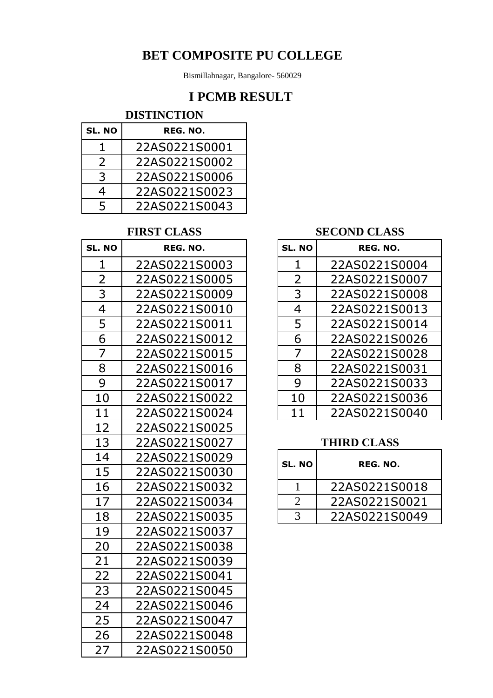Bismillahnagar, Bangalore- 560029

## **I PCMB RESULT**

### **DISTINCTION**

| SL. NO | REG. NO.      |
|--------|---------------|
| ı.     | 22AS0221S0001 |
| 2      | 22AS0221S0002 |
| 3      | 22AS0221S0006 |
| 4      | 22AS0221S0023 |
| 5      | 22AS0221S0043 |

### **FIRST CLASS**

| SL. NO         | REG. NO.      | SL. NO         | REG. NO.           |
|----------------|---------------|----------------|--------------------|
| $\mathbf{1}$   | 22AS0221S0003 | $\mathbf{1}$   | 22AS0221S0004      |
| $\overline{2}$ | 22AS0221S0005 | $\overline{2}$ | 22AS0221S0007      |
| 3              | 22AS0221S0009 | 3              | 22AS0221S0008      |
| $\overline{4}$ | 22AS0221S0010 | $\overline{4}$ | 22AS0221S0013      |
| 5              | 22AS0221S0011 | 5              | 22AS0221S0014      |
| 6              | 22AS0221S0012 | 6              | 22AS0221S0026      |
| $\overline{7}$ | 22AS0221S0015 | $\overline{7}$ | 22AS0221S0028      |
| 8              | 22AS0221S0016 | 8              | 22AS0221S0031      |
| 9              | 22AS0221S0017 | 9              | 22AS0221S0033      |
| 10             | 22AS0221S0022 | 10             | 22AS0221S0036      |
| 11             | 22AS0221S0024 | 11             | 22AS0221S0040      |
| 12             | 22AS0221S0025 |                |                    |
| 13             | 22AS0221S0027 |                | <b>THIRD CLASS</b> |
| 14             | 22AS0221S0029 | SL. NO         | REG. NO.           |
| 15             | 22AS0221S0030 |                |                    |
| 16             | 22AS0221S0032 | $\mathbf{1}$   | 22AS0221S0018      |
| 17             | 22AS0221S0034 | $\overline{2}$ | 22AS0221S0021      |
| 18             | 22AS0221S0035 | $\overline{3}$ | 22AS0221S0049      |
| 19             | 22AS0221S0037 |                |                    |
| 20             | 22AS0221S0038 |                |                    |
| 21             | 22AS0221S0039 |                |                    |
| 22             | 22AS0221S0041 |                |                    |
| 23             | 22AS0221S0045 |                |                    |
| 24             | 22AS0221S0046 |                |                    |
| 25             | 22AS0221S0047 |                |                    |
| 26             | 22AS0221S0048 |                |                    |
| 27             | 22AS0221S0050 |                |                    |

### **SECOND CLASS**

| <b>NO</b> | REG. NO.      | SL. NO         | REG. NO.      |
|-----------|---------------|----------------|---------------|
|           | 22AS0221S0003 |                | 22AS0221S0004 |
| 2         | 22AS0221S0005 | $\overline{2}$ | 22AS0221S0007 |
| 3         | 22AS0221S0009 | 3              | 22AS0221S0008 |
| 4         | 22AS0221S0010 | 4              | 22AS0221S0013 |
| 5         | 22AS0221S0011 | 5              | 22AS0221S0014 |
| 6         | 22AS0221S0012 | 6              | 22AS0221S0026 |
| 7         | 22AS0221S0015 |                | 22AS0221S0028 |
| 8         | 22AS0221S0016 | 8              | 22AS0221S0031 |
| 9         | 22AS0221S0017 | 9              | 22AS0221S0033 |
|           | 22AS0221S0022 | 10             | 22AS0221S0036 |
|           | 22AS0221S0024 | 11             | 22AS0221S0040 |

## **THIRD CLASS**

| 14 | 22AS0221S0029 | SL. NO | REG. NO. |               |
|----|---------------|--------|----------|---------------|
| 15 | 22AS0221S0030 |        |          |               |
| 16 | 22AS0221S0032 |        |          | 22AS0221S0018 |
| 17 | 22AS0221S0034 |        |          | 22AS0221S0021 |
| 18 | 22AS0221S0035 |        |          | 22AS0221S0049 |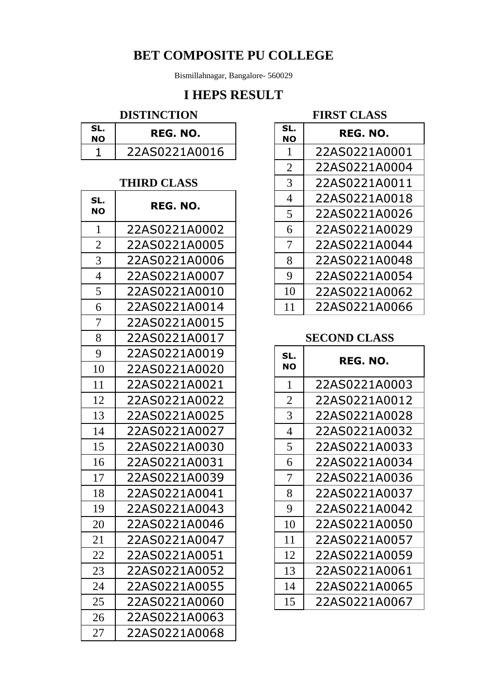Bismillahnagar, Bangalore- 560029

## **I HEPS RESULT**

### **DISTINCTION**

| SL.<br>NΛ | REG. NO.      |
|-----------|---------------|
|           | 22AS0221A0016 |

### **THIRD CLASS**

| SL.            | REG. NO.      | 4              | 22AS0221A0018       |
|----------------|---------------|----------------|---------------------|
| <b>NO</b>      |               | 5              | 22AS0221A0026       |
| $\mathbf{1}$   | 22AS0221A0002 | 6              | 22AS0221A0029       |
| $\overline{2}$ | 22AS0221A0005 | 7              | 22AS0221A0044       |
| 3              | 22AS0221A0006 | 8              | 22AS0221A0048       |
| $\overline{4}$ | 22AS0221A0007 | 9              | 22AS0221A0054       |
| 5              | 22AS0221A0010 | 10             | 22AS0221A0062       |
| 6              | 22AS0221A0014 | 11             | 22AS0221A0066       |
| 7              | 22AS0221A0015 |                |                     |
| 8              | 22AS0221A0017 |                | <b>SECOND CLASS</b> |
| 9              | 22AS0221A0019 | SL.            | REG. NO.            |
| 10             | 22AS0221A0020 | <b>NO</b>      |                     |
| 11             | 22AS0221A0021 | $\mathbf 1$    | 22AS0221A0003       |
| 12             | 22AS0221A0022 | $\overline{2}$ | 22AS0221A0012       |
| 13             | 22AS0221A0025 | 3              | 22AS0221A0028       |
| 14             | 22AS0221A0027 | $\overline{4}$ | 22AS0221A0032       |
| 15             | 22AS0221A0030 | 5              | 22AS0221A0033       |
| 16             | 22AS0221A0031 | 6              | 22AS0221A0034       |
| 17             | 22AS0221A0039 | 7              | 22AS0221A0036       |
| 18             | 22AS0221A0041 | 8              | 22AS0221A0037       |
| 19             | 22AS0221A0043 | 9              | 22AS0221A0042       |
| 20             | 22AS0221A0046 | 10             | 22AS0221A0050       |
| 21             | 22AS0221A0047 | 11             | 22AS0221A0057       |
| 22             | 22AS0221A0051 | 12             | 22AS0221A0059       |
| 23             | 22AS0221A0052 | 13             | 22AS0221A0061       |
| 24             | 22AS0221A0055 | 14             | 22AS0221A0065       |
| 25             | 22AS0221A0060 | 15             | 22AS0221A0067       |
| 26             | 22AS0221A0063 |                |                     |
| 27             | 22AS0221A0068 |                |                     |
|                |               |                |                     |

#### **FIRST CLASS**

| SL.<br>10      | REG. NO.           | SL.<br>NΟ      | REG. NO.      |
|----------------|--------------------|----------------|---------------|
| 1              | 22AS0221A0016      |                | 22AS0221A0001 |
|                |                    | $\overline{2}$ | 22AS0221A0004 |
|                | <b>THIRD CLASS</b> | 3              | 22AS0221A0011 |
| SL.            | REG. NO.           | 4              | 22AS0221A0018 |
| 10             |                    | 5              | 22AS0221A0026 |
| $\mathbf{1}$   | 22AS0221A0002      | 6              | 22AS0221A0029 |
| $\overline{2}$ | 22AS0221A0005      | 7              | 22AS0221A0044 |
| 3              | 22AS0221A0006      | 8              | 22AS0221A0048 |
| $\overline{4}$ | 22AS0221A0007      | 9              | 22AS0221A0054 |
| 5              | 22AS0221A0010      | 10             | 22AS0221A0062 |
| 6              | 22AS0221A0014      | 11             | 22AS0221A0066 |

#### **SECOND CLASS**

| SL.<br>NΟ      | REG. NO.      |
|----------------|---------------|
| 1              | 22AS0221A0003 |
| $\overline{2}$ | 22AS0221A0012 |
| 3              | 22AS0221A0028 |
| $\overline{4}$ | 22AS0221A0032 |
| 5              | 22AS0221A0033 |
| 6              | 22AS0221A0034 |
| 7              | 22AS0221A0036 |
| 8              | 22AS0221A0037 |
| 9              | 22AS0221A0042 |
| 10             | 22AS0221A0050 |
| 11             | 22AS0221A0057 |
| 12             | 22AS0221A0059 |
| 13             | 22AS0221A0061 |
| 14             | 22AS0221A0065 |
| 15             | 22AS0221A0067 |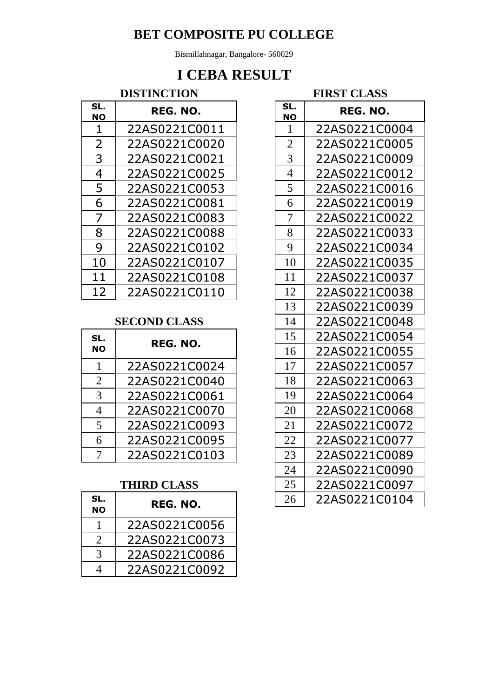Bismillahnagar, Bangalore- 560029

# **I CEBA RESULT**

## **DISTINCTION**

| SL.<br><b>NO</b> | REG. NO.      | SL.<br><b>NO</b> | REG. NO.      |
|------------------|---------------|------------------|---------------|
|                  | 22AS0221C0011 | 1                | 22AS0221C0004 |
| 2                | 22AS0221C0020 | $\overline{2}$   | 22AS0221C0005 |
| 3                | 22AS0221C0021 | 3                | 22AS0221C0009 |
| 4                | 22AS0221C0025 | 4                | 22AS0221C0012 |
| 5                | 22AS0221C0053 | 5                | 22AS0221C0016 |
| 6                | 22AS0221C0081 | 6                | 22AS0221C0019 |
| 7                | 22AS0221C0083 | 7                | 22AS0221C0022 |
| 8                | 22AS0221C0088 | 8                | 22AS0221C0033 |
| 9                | 22AS0221C0102 | 9                | 22AS0221C0034 |
| 10               | 22AS0221C0107 | 10               | 22AS0221C0035 |
| 11               | 22AS0221C0108 | 11               | 22AS0221C0037 |
| 12               | 22AS0221C0110 | 12               | 22AS0221C0038 |

#### **SECOND CLASS**

| SL.            | REG. NO.      |  | 15 | 22AS0221C0054 |
|----------------|---------------|--|----|---------------|
| <b>NO</b>      |               |  | 16 | 22AS0221C0055 |
|                | 22AS0221C0024 |  | 17 | 22AS0221C0057 |
| $\overline{2}$ | 22AS0221C0040 |  | 18 | 22AS0221C0063 |
| 3              | 22AS0221C0061 |  | 19 | 22AS0221C0064 |
| 4              | 22AS0221C0070 |  | 20 | 22AS0221C0068 |
| 5              | 22AS0221C0093 |  | 21 | 22AS0221C0072 |
|                | 22AS0221C0095 |  | 22 | 22AS0221C0077 |
|                | 22AS0221C0103 |  | 23 | 22AS0221C0089 |

### **THIRD CLASS**

| SL.<br><b>NO</b>            | REG. NO.      |
|-----------------------------|---------------|
|                             | 22AS0221C0056 |
| $\mathcal{D}_{\mathcal{L}}$ | 22AS0221C0073 |
| 3                           | 22AS0221C0086 |
|                             | 22AS0221C0092 |

**FIRST CLASS**

|                  | LIIVO I CLADO |
|------------------|---------------|
| SL.<br><u>NO</u> | REG. NO.      |
| $\mathbf{1}$     | 22AS0221C0004 |
| $\overline{2}$   | 22AS0221C0005 |
| $\overline{3}$   | 22AS0221C0009 |
| $\overline{4}$   | 22AS0221C0012 |
| 5                | 22AS0221C0016 |
| 6                | 22AS0221C0019 |
| $\overline{7}$   | 22AS0221C0022 |
| 8                | 22AS0221C0033 |
| 9                | 22AS0221C0034 |
| 10               | 22AS0221C0035 |
| 11               | 22AS0221C0037 |
| 12               | 22AS0221C0038 |
| 13               | 22AS0221C0039 |
| 14               | 22AS0221C0048 |
| 15               | 22AS0221C0054 |
| 16               | 22AS0221C0055 |
| 17               | 22AS0221C0057 |
| 18               | 22AS0221C0063 |
| 19               | 22AS0221C0064 |
| 20               | 22AS0221C0068 |
| 21               | 22AS0221C0072 |
| 22               | 22AS0221C0077 |
| 23               | 22AS0221C0089 |
| 24               | 22AS0221C0090 |
| 25               | 22AS0221C0097 |
| 26               | 22AS0221C0104 |